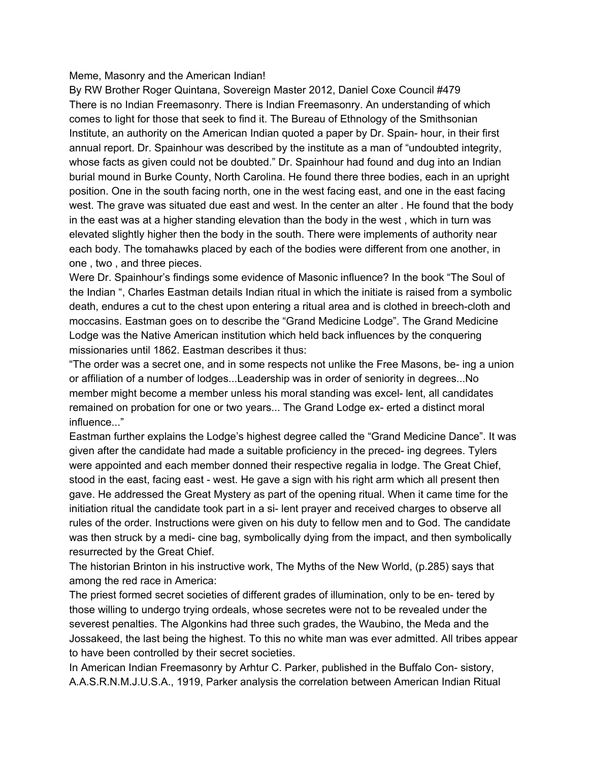## Meme, Masonry and the American Indian!

By RW Brother Roger Quintana, Sovereign Master 2012, Daniel Coxe Council #479 There is no Indian Freemasonry. There is Indian Freemasonry. An understanding of which comes to light for those that seek to find it. The Bureau of Ethnology of the Smithsonian Institute, an authority on the American Indian quoted a paper by Dr. Spain- hour, in their first annual report. Dr. Spainhour was described by the institute as a man of "undoubted integrity, whose facts as given could not be doubted." Dr. Spainhour had found and dug into an Indian burial mound in Burke County, North Carolina. He found there three bodies, each in an upright position. One in the south facing north, one in the west facing east, and one in the east facing west. The grave was situated due east and west. In the center an alter . He found that the body in the east was at a higher standing elevation than the body in the west , which in turn was elevated slightly higher then the body in the south. There were implements of authority near each body. The tomahawks placed by each of the bodies were different from one another, in one , two , and three pieces.

Were Dr. Spainhour's findings some evidence of Masonic influence? In the book "The Soul of the Indian ", Charles Eastman details Indian ritual in which the initiate is raised from a symbolic death, endures a cut to the chest upon entering a ritual area and is clothed in breech-cloth and moccasins. Eastman goes on to describe the "Grand Medicine Lodge". The Grand Medicine Lodge was the Native American institution which held back influences by the conquering missionaries until 1862. Eastman describes it thus:

"The order was a secret one, and in some respects not unlike the Free Masons, be- ing a union or affiliation of a number of lodges...Leadership was in order of seniority in degrees...No member might become a member unless his moral standing was excel- lent, all candidates remained on probation for one or two years... The Grand Lodge ex- erted a distinct moral influence..."

Eastman further explains the Lodge's highest degree called the "Grand Medicine Dance". It was given after the candidate had made a suitable proficiency in the preced- ing degrees. Tylers were appointed and each member donned their respective regalia in lodge. The Great Chief, stood in the east, facing east - west. He gave a sign with his right arm which all present then gave. He addressed the Great Mystery as part of the opening ritual. When it came time for the initiation ritual the candidate took part in a si- lent prayer and received charges to observe all rules of the order. Instructions were given on his duty to fellow men and to God. The candidate was then struck by a medi- cine bag, symbolically dying from the impact, and then symbolically resurrected by the Great Chief.

The historian Brinton in his instructive work, The Myths of the New World, (p.285) says that among the red race in America:

The priest formed secret societies of different grades of illumination, only to be en- tered by those willing to undergo trying ordeals, whose secretes were not to be revealed under the severest penalties. The Algonkins had three such grades, the Waubino, the Meda and the Jossakeed, the last being the highest. To this no white man was ever admitted. All tribes appear to have been controlled by their secret societies.

In American Indian Freemasonry by Arhtur C. Parker, published in the Buffalo Con- sistory, A.A.S.R.N.M.J.U.S.A., 1919, Parker analysis the correlation between American Indian Ritual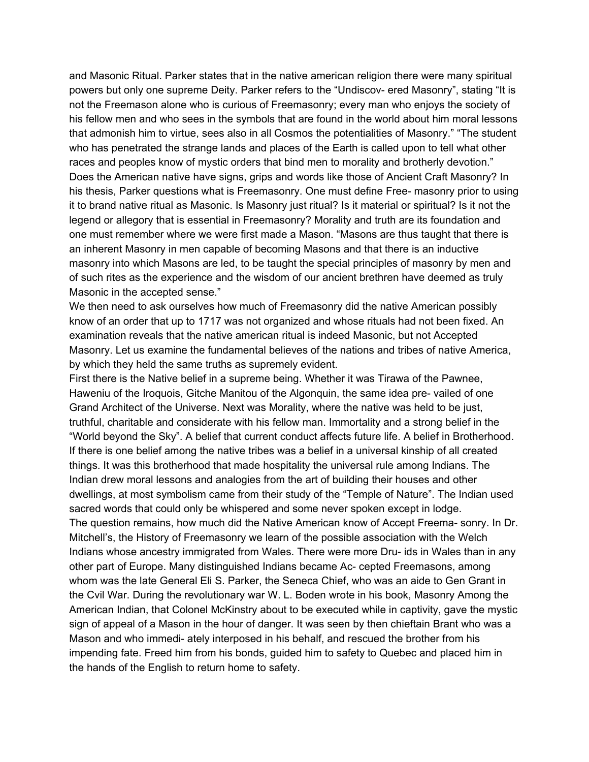and Masonic Ritual. Parker states that in the native american religion there were many spiritual powers but only one supreme Deity. Parker refers to the "Undiscov- ered Masonry", stating "It is not the Freemason alone who is curious of Freemasonry; every man who enjoys the society of his fellow men and who sees in the symbols that are found in the world about him moral lessons that admonish him to virtue, sees also in all Cosmos the potentialities of Masonry." "The student who has penetrated the strange lands and places of the Earth is called upon to tell what other races and peoples know of mystic orders that bind men to morality and brotherly devotion." Does the American native have signs, grips and words like those of Ancient Craft Masonry? In his thesis, Parker questions what is Freemasonry. One must define Free- masonry prior to using it to brand native ritual as Masonic. Is Masonry just ritual? Is it material or spiritual? Is it not the legend or allegory that is essential in Freemasonry? Morality and truth are its foundation and one must remember where we were first made a Mason. "Masons are thus taught that there is an inherent Masonry in men capable of becoming Masons and that there is an inductive masonry into which Masons are led, to be taught the special principles of masonry by men and of such rites as the experience and the wisdom of our ancient brethren have deemed as truly Masonic in the accepted sense."

We then need to ask ourselves how much of Freemasonry did the native American possibly know of an order that up to 1717 was not organized and whose rituals had not been fixed. An examination reveals that the native american ritual is indeed Masonic, but not Accepted Masonry. Let us examine the fundamental believes of the nations and tribes of native America, by which they held the same truths as supremely evident.

First there is the Native belief in a supreme being. Whether it was Tirawa of the Pawnee, Haweniu of the Iroquois, Gitche Manitou of the Algonquin, the same idea pre- vailed of one Grand Architect of the Universe. Next was Morality, where the native was held to be just, truthful, charitable and considerate with his fellow man. Immortality and a strong belief in the "World beyond the Sky". A belief that current conduct affects future life. A belief in Brotherhood. If there is one belief among the native tribes was a belief in a universal kinship of all created things. It was this brotherhood that made hospitality the universal rule among Indians. The Indian drew moral lessons and analogies from the art of building their houses and other dwellings, at most symbolism came from their study of the "Temple of Nature". The Indian used sacred words that could only be whispered and some never spoken except in lodge. The question remains, how much did the Native American know of Accept Freema- sonry. In Dr. Mitchell's, the History of Freemasonry we learn of the possible association with the Welch Indians whose ancestry immigrated from Wales. There were more Dru- ids in Wales than in any other part of Europe. Many distinguished Indians became Ac- cepted Freemasons, among whom was the late General Eli S. Parker, the Seneca Chief, who was an aide to Gen Grant in the Cvil War. During the revolutionary war W. L. Boden wrote in his book, Masonry Among the American Indian, that Colonel McKinstry about to be executed while in captivity, gave the mystic sign of appeal of a Mason in the hour of danger. It was seen by then chieftain Brant who was a Mason and who immedi- ately interposed in his behalf, and rescued the brother from his impending fate. Freed him from his bonds, guided him to safety to Quebec and placed him in the hands of the English to return home to safety.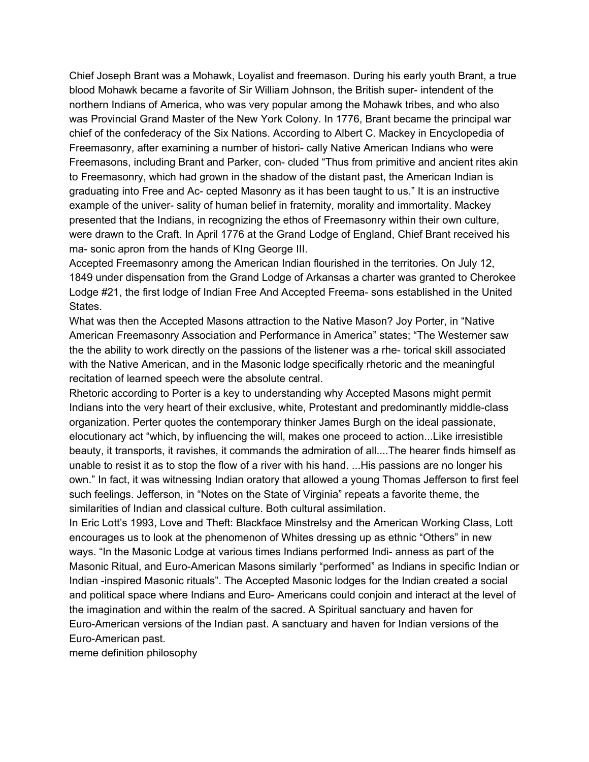Chief Joseph Brant was a Mohawk, Loyalist and freemason. During his early youth Brant, a true blood Mohawk became a favorite of Sir William Johnson, the British super- intendent of the northern Indians of America, who was very popular among the Mohawk tribes, and who also was Provincial Grand Master of the New York Colony. In 1776, Brant became the principal war chief of the confederacy of the Six Nations. According to Albert C. Mackey in Encyclopedia of Freemasonry, after examining a number of histori- cally Native American Indians who were Freemasons, including Brant and Parker, con- cluded "Thus from primitive and ancient rites akin to Freemasonry, which had grown in the shadow of the distant past, the American Indian is graduating into Free and Ac- cepted Masonry as it has been taught to us." It is an instructive example of the univer- sality of human belief in fraternity, morality and immortality. Mackey presented that the Indians, in recognizing the ethos of Freemasonry within their own culture, were drawn to the Craft. In April 1776 at the Grand Lodge of England, Chief Brant received his ma- sonic apron from the hands of KIng George III.

Accepted Freemasonry among the American Indian flourished in the territories. On July 12, 1849 under dispensation from the Grand Lodge of Arkansas a charter was granted to Cherokee Lodge #21, the first lodge of Indian Free And Accepted Freema- sons established in the United States.

What was then the Accepted Masons attraction to the Native Mason? Joy Porter, in "Native American Freemasonry Association and Performance in America" states; "The Westerner saw the the ability to work directly on the passions of the listener was a rhe- torical skill associated with the Native American, and in the Masonic lodge specifically rhetoric and the meaningful recitation of learned speech were the absolute central.

Rhetoric according to Porter is a key to understanding why Accepted Masons might permit Indians into the very heart of their exclusive, white, Protestant and predominantly middle-class organization. Perter quotes the contemporary thinker James Burgh on the ideal passionate, elocutionary act "which, by influencing the will, makes one proceed to action...Like irresistible beauty, it transports, it ravishes, it commands the admiration of all....The hearer finds himself as unable to resist it as to stop the flow of a river with his hand. ...His passions are no longer his own." In fact, it was witnessing Indian oratory that allowed a young Thomas Jefferson to first feel such feelings. Jefferson, in "Notes on the State of Virginia" repeats a favorite theme, the similarities of Indian and classical culture. Both cultural assimilation.

In Eric Lott's 1993, Love and Theft: Blackface Minstrelsy and the American Working Class, Lott encourages us to look at the phenomenon of Whites dressing up as ethnic "Others" in new ways. "In the Masonic Lodge at various times Indians performed Indi- anness as part of the Masonic Ritual, and Euro-American Masons similarly "performed" as Indians in specific Indian or Indian -inspired Masonic rituals". The Accepted Masonic lodges for the Indian created a social and political space where Indians and Euro- Americans could conjoin and interact at the level of the imagination and within the realm of the sacred. A Spiritual sanctuary and haven for Euro-American versions of the Indian past. A sanctuary and haven for Indian versions of the Euro-American past.

meme definition philosophy